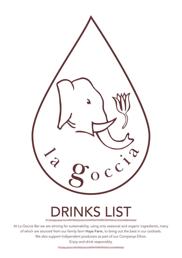

# DRINKS LIST

At La Goccia Bar we are striving for sustainability, using only seasonal and organic ingredients, many of which are sourced from our family farm Haye Farm, to bring out the best in our cocktails. We also support indipendent producers as part of our Companys Ethos. Enjoy and drink responsibly.

a service de contemporada de la contemporada de la contemporada en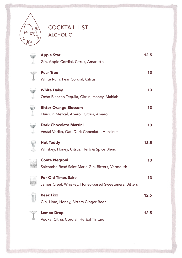

#### COCKTAIL LIST ALCHOLIC

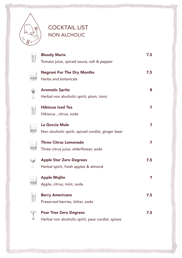

## COCKTAIL LIST NON ALCHOLIC

| <b>Bloody Maria</b><br>Tomato juice, spiced sauce, salt & pepper                   | 7.5 |
|------------------------------------------------------------------------------------|-----|
| <b>Negroni For The Dry Months</b><br>Herbs and botanicals                          | 7.5 |
| <b>Aromatic Spritz</b><br>Herbal non alcoholic spirit, plum, tonic                 | 8   |
| <b>Hibiscus Iced Tea</b><br>Hibiscus, citrus, soda                                 | 7   |
| La Goccia Mule<br>Non alcoholic spirit, spiced cordial, ginger beer                | 7   |
| <b>Three Citrus Lemonade</b><br>Three citrus juice, elderflower, soda              | 7   |
| <b>Apple Star Zero Degrees</b><br>Herbal spirit, fresh apples & almond             | 7.5 |
| <b>Apple Mojito</b><br>Apple, citrus, mint, soda                                   | 7   |
| <b>Berry Americano</b><br>Preserved berries, bitter, soda                          | 7.5 |
| <b>Pear Tree Zero Degrees</b><br>Herbal non alcoholic spirit, pear cordial, spices | 7.5 |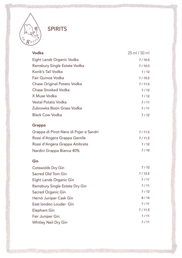

| Vodka                                  | 25 ml / 50 ml |
|----------------------------------------|---------------|
| Eight Lands Organic Vodka              | 7/10.5        |
| Ramsbury Single Estate Vodka           | 7/10.5        |
| Konik's Tail Vodka                     | 7/12          |
| Fair Quinoa Vodka                      | 7/10.5        |
| Chase Original Potato Vodka            | 7/11.5        |
| Chase Smoked Vodka                     | 7/12          |
| X Muse Vodka                           | 7/12          |
| <b>Vestal Potato Vodka</b>             | 7/11          |
| Zubrowka Bison Grass Vodka             | 7/11          |
| <b>Black Cow Vodka</b>                 | 7/12          |
| Grappa                                 |               |
| Grappa di Pinot Nero di Pojer e Sandri | 7/11.5        |
| Rossi d'Angera Grappa Gentile          | 7/11.5        |
| Rossi d'Angera Grappa Ambrata          | 7/12          |
| Nardini Grappa Bianca 40%              | 7/10          |
| Gin                                    |               |
| Cotswolds Dry Gin                      | 7/12          |
| Sacred Old Tom Gin                     | 7/12.5        |
| Eight Lands Organic Gin                | 7/11          |
| Ramsbury Single Estate Dry Gin         | 7/11          |
| Sacred Organic Gin                     | 7/12          |
| Hernö Juniper Cask Gin                 | 8/14          |
| East london Louder Gin                 | 7/11          |
| <b>Elephant Gin</b>                    | 7/11.5        |
| Fair Juniper Gin                       | 7/11          |
| Whitley Neil Dry Gin                   | 7/11          |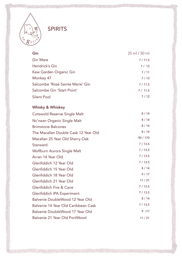

| Gin                                  | 25 ml / 50 ml |
|--------------------------------------|---------------|
| <b>Gin Mare</b>                      | 7/11.5        |
| Hendrick's Gin                       | 7/13          |
| Kew Garden Organic Gin               | 7/11          |
| Monkey 47                            | 7/13          |
| Salcombe 'Rosé Sainte Marie' Gin     | 7/11.5        |
| Salcombe Gin 'Start Point'           | 7/11.5        |
| Silent Pool                          | 7/12          |
| Whisky & Whiskey                     |               |
| Cotswold Reserve Single Malt         | 8/14          |
| Nc'nean Organic Single Malt          | 8/14          |
| <b>Brimstone Balcones</b>            | 8/14          |
| The Macallan Double Cask 12 Year Old | 8/14          |
| Macallan 25 Year Old Sherry Oak      | 90/170        |
| Starward                             | 7/13.5        |
| Wolfburn Aurora Single Malt          | 7/13.5        |
| Arran 14 Year Old                    | 7/13.5        |
| Glenfiddich 12 Year Old              | 7/13.5        |
| Glenfiddich 15 Year Old              | 8/14          |
| Glenfiddich 18 Year Old              | 9/17          |
| Glenfiddich 21 Year Old              | 11/21         |
| Glenfiddich Fire & Cane              | 7/13.5        |
| Glenfiddich IPA Experiment           | 7/13.5        |
| Balvenie DoubleWood 12 Year Old      | 8/14          |
| Balvenie 14 Year Old Caribbean Cask  | 7/13.5        |
| Balvenie DoubleWood 17 Year Old      | 9 / 17        |
| Balvenie 21 Year Old PortWood        | 11/21         |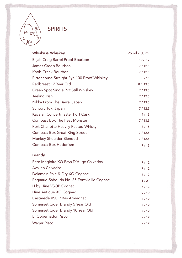

Castarede VSOP Bas Armagnac Somerset Cider Brandy 5 Year Old Somerset Cider Brandy 10 Year Old

El Gobernador Pisco

Waqar Pisco

| Whisky & Whiskey                           | $25$ ml / 50 ml |
|--------------------------------------------|-----------------|
| Elijah Craig Barrel Proof Bourbon          | 10/17           |
| James Cree's Bourbon                       | 7/12.5          |
| Knob Creek Bourbon                         | 7/12.5          |
| Rittenhouse Straight Rye 100 Proof Whiskey | 8/15            |
| Redbreast 12 Year Old                      | 8/13.5          |
| Green Spot Single Pot Still Whiskey        | 7/13.5          |
| Teeling Irish                              | 7/12.5          |
| Nikka From The Barrel Japan                | 7/13.5          |
| Suntory Toki Japan                         | 7/12.5          |
| Kavalan Concertmaster Port Cask            | 9/15            |
| <b>Compass Box The Peat Monster</b>        | 7/13.5          |
| Port Charlotte Heavily Peated Whisky       | 8/15            |
| <b>Compass Box Great King Street</b>       | 7/12.5          |
| Monkey Shoulder Blended                    | 7/12.5          |
| Compass Box Hedonism                       | 7/15            |
| <b>Brandy</b>                              |                 |
| Pere Magloire XO Pays D'Auge Calvados      | 7/12            |
| <b>Avallen Calvados</b>                    | 7/12            |
| Delamain Pale & Dry XO Cognac              | 8/17            |
| Ragnaud-Sabourin No. 35 Fontvieille Cognac | 11/21           |
| H by Hine VSOP Cognac                      | 7/12            |
| Hine Antique XO Cognac                     | 9/19            |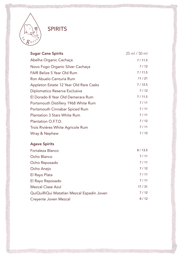

| <b>Sugar Cane Spirits</b>              | 25 ml / 50 ml |
|----------------------------------------|---------------|
| Abelha Organic Cachaça                 | 7/11.5        |
| Novo Fogo Organic Silver Cachaça       | 7/12          |
| <b>FAIR Belize 5 Year Old Rum</b>      | 7/11.5        |
| Ron Abuelo Centuria Rum                | 11/21         |
| Appleton Estate 12 Year Old Rare Casks | 7/12.5        |
| Diplomatico Reserva Exclusiva          | 7/12          |
| El Dorado 8 Year Old Demerara Rum      | 7/11.5        |
| Portsmouth Distillery 1968 White Rum   | 7/11          |
| Portsmouth Cinnabar Spiced Rum         | 7/11          |
| <b>Plantation 3 Stars White Rum</b>    | 7/11          |
| Plantation O.F.T.D.                    | 7/12          |
| Trois Rivières White Agricole Rum      | 7/11          |
| Wray & Nephew                          | 7/12          |
| <b>Agave Spirits</b>                   |               |
| Fortaleza Blanco                       | 8/13.5        |
|                                        |               |

| Ocho Blanco                               | 7/11  |
|-------------------------------------------|-------|
| Ocho Reposado                             | 7/11  |
| Ocho Anejo                                | 7/12  |
| El Rayo Plata                             | 7/11  |
| El Rayo Reposado                          | 7/11  |
| <b>Mezcal Clase Azul</b>                  | 17/31 |
| QuiQuiRiQui Matatlan Mezcal Espadin Joven | 7/12  |
| Creyente Joven Mezcal                     | 8/12  |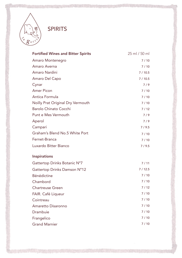

| Amaro Montenegro<br>Amaro Averna  | 7/10<br>7/10 |
|-----------------------------------|--------------|
|                                   |              |
|                                   |              |
| Amaro Nardini                     | 7/10.5       |
| Amaro Del Capo                    | 7/10.5       |
| Cynar                             | 7/9          |
| <b>Amer Picon</b>                 | 7/10         |
| Antica Formula                    | 7/10         |
| Noilly Prat Original Dry Vermouth | 7/10         |
| <b>Barolo Chinato Cocchi</b>      | 7/12         |
| Punt e Mes Vermouth               | 7/9          |
| Aperol                            | 7/9          |
| Campari                           | 7/9.5        |
| Graham's Blend No.5 White Port    | 7/10         |
| Fernet-Branca                     | 7/10         |
| Luxardo Bitter Bianco             | 7/9.5        |
| Inspirations                      |              |
| Gattertop Drinks Botanic N°7      | 7/11         |
| Gattertop Drinks Damson N°12      | 7/12.5       |
| <b>Bénédictine</b>                | 7/10         |
| Chambord                          | 7/10         |
| <b>Chartreuse Green</b>           | 7/12         |
| FAIR. Café Liqueur                | 7/10         |
| Cointreau                         | 7/10         |
| Amaretto Disaronno                | 7/10         |
| Drambuie                          | 7/10         |
| Frangelico                        | 7/10         |
| <b>Grand Marnier</b>              | 7/10         |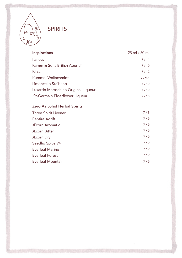

| Inspirations                        | 25 ml / 50 ml |
|-------------------------------------|---------------|
| <b>Italicus</b>                     | 7/11          |
| Kamm & Sons British Aperitif        | 7/10          |
| Kirsch                              | 7/12          |
| Kummel Wolfschmidt                  | 7/9.5         |
| Limoncello Staibano                 | 7/10          |
| Luxardo Maraschino Original Liqueur | 7/10          |
| St-Germain Elderflower Liqueur      | 7/10          |

#### Zero Aalcohol Herbal Spirits

| Three Spirit Livener     | 7/9 |
|--------------------------|-----|
| <b>Pentire Adrift</b>    | 7/9 |
| <b>Æcorn Aromatic</b>    | 7/9 |
| <b>Æcorn Bitter</b>      | 7/9 |
| <b>Æcorn Dry</b>         | 7/9 |
| Seedlip Spice 94         | 7/9 |
| <b>Everleaf Marine</b>   | 7/9 |
| Everleaf Forest          | 7/9 |
| <b>Everleaf Mountain</b> | 7/9 |
|                          |     |